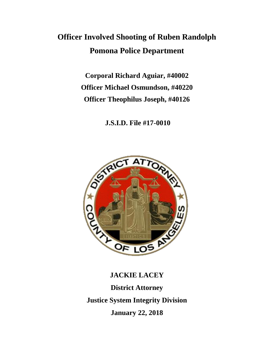# **Officer Involved Shooting of Ruben Randolph Pomona Police Department**

**Corporal Richard Aguiar, #40002 Officer Michael Osmundson, #40220 Officer Theophilus Joseph, #40126**

**J.S.I.D. File #17-0010**



**JACKIE LACEY District Attorney Justice System Integrity Division January 22, 2018**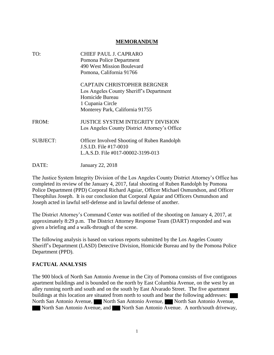#### **MEMORANDUM**

| TO:             | CHIEF PAUL J. CAPRARO<br>Pomona Police Department<br>490 West Mission Boulevard<br>Pomona, California 91766                                             |
|-----------------|---------------------------------------------------------------------------------------------------------------------------------------------------------|
|                 | <b>CAPTAIN CHRISTOPHER BERGNER</b><br>Los Angeles County Sheriff's Department<br>Homicide Bureau<br>1 Cupania Circle<br>Monterey Park, California 91755 |
| FROM:           | <b>JUSTICE SYSTEM INTEGRITY DIVISION</b><br>Los Angeles County District Attorney's Office                                                               |
| <b>SUBJECT:</b> | <b>Officer Involved Shooting of Ruben Randolph</b><br>J.S.I.D. File #17-0010<br>L.A.S.D. File #017-00002-3199-013                                       |
| DATE:           | January 22, 2018                                                                                                                                        |

The Justice System Integrity Division of the Los Angeles County District Attorney's Office has completed its review of the January 4, 2017, fatal shooting of Ruben Randolph by Pomona Police Department (PPD) Corporal Richard Aguiar, Officer Michael Osmundson, and Officer Theophilus Joseph. It is our conclusion that Corporal Aguiar and Officers Osmundson and Joseph acted in lawful self-defense and in lawful defense of another.

The District Attorney's Command Center was notified of the shooting on January 4, 2017, at approximately 8:29 p.m. The District Attorney Response Team (DART) responded and was given a briefing and a walk-through of the scene.

The following analysis is based on various reports submitted by the Los Angeles County Sheriff's Department (LASD) Detective Division, Homicide Bureau and by the Pomona Police Department (PPD).

#### **FACTUAL ANALYSIS**

The 900 block of North San Antonio Avenue in the City of Pomona consists of five contiguous apartment buildings and is bounded on the north by East Columbia Avenue, on the west by an alley running north and south and on the south by East Alvarado Street. The five apartment buildings at this location are situated from north to south and bear the following addresses: North San Antonio Avenue, North San Antonio Avenue, North San Antonio Avenue, North San Antonio Avenue, and North San Antonio Avenue. A north/south driveway,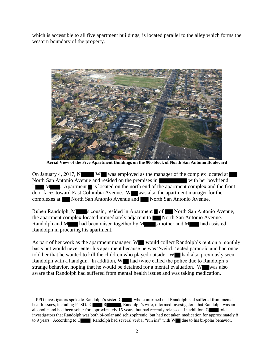which is accessible to all five apartment buildings, is located parallel to the alley which forms the western boundary of the property.



**Aerial View of the Five Apartment Buildings on the 900 block of North San Antonio Boulevard**

On January 4, 2017, N W was employed as the manager of the complex located at North San Antonio Avenue and resided on the premises in with her boyfriend  $L$  M  $\blacksquare$ . Apartment is located on the north end of the apartment complex and the front door faces toward East Columbia Avenue. Www. was also the apartment manager for the complexes at North San Antonio Avenue and North San Antonio Avenue.

Ruben Randolph, M s cousin, resided in Apartment of North San Antonio Avenue, the apartment complex located immediately adjacent to  $\blacksquare$  North San Antonio Avenue. Randolph and M  $\blacksquare$  had been raised together by M  $\blacksquare$  s mother and M  $\blacksquare$  had assisted Randolph in procuring his apartment.

As part of her work as the apartment manager, W would collect Randolph's rent on a monthly basis but would never enter his apartment because he was "weird," acted paranoid and had once told her that he wanted to kill the children who played outside. W had also previously seen Randolph with a handgun. In addition, W had twice called the police due to Randolph's strange behavior, hoping that he would be detained for a mental evaluation. W was also aware that Randolph had suffered from mental health issues and was taking medication.<sup>1</sup>

 $\overline{a}$ 

<sup>&</sup>lt;sup>1</sup> PPD investigators spoke to Randolph's sister, C<sub>1</sub>, who confirmed that Randolph had suffered from mental health issues, including PTSD. C R Randolph's wife, informed investigators that Randolph was an alcoholic and had been sober for approximately 15 years, but had recently relapsed. In addition,  $C$  told investigators that Randolph was both bi-polar and schizophrenic, but had not taken medication for approximately 8 to 9 years. According to C , Randolph had several verbal "run ins" with W due to his bi-polar behavior.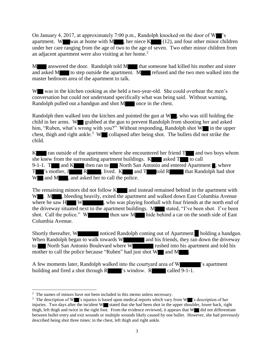On January 4, 2017, at approximately 7:00 p.m., Randolph knocked on the door of  $W$  's apartment. W was at home with M , her niece  $K = (12)$ , and four other minor children under her care ranging from the age of two to the age of seven. Two other minor children from an adjacent apartment were also visiting at her home.<sup>2</sup>

 $M_{\bullet}$  answered the door. Randolph told  $M_{\bullet}$  that someone had killed his mother and sister and asked M to step outside the apartment. M refused and the two men walked into the master bedroom area of the apartment to talk.

W was in the kitchen cooking as she held a two-year-old. She could overhear the men's conversation but could not understand specifically what was being said. Without warning, Randolph pulled out a handgun and shot M once in the chest.

Randolph then walked into the kitchen and pointed the gun at  $W$ , who was still holding the child in her arms. W grabbed at the gun to prevent Randolph from shooting her and asked him, "Ruben, what's wrong with you?" Without responding, Randolph shot  $W$  in the upper chest, thigh and right ankle.<sup>3</sup> W collapsed after being shot. The bullets did not strike the child.

 $K$  and two boys whom ran outside of the apartment where she encountered her friend  $T$  and two boys whom she knew from the surrounding apartment buildings.  $K$  asked  $T$  to call 9-1-1. T and K then ran to North San Antonio and entered Apartment , where  $T^*$ 's mother,  $J^*$  R k and R and T told R that Randolph had shot  $W$  and M , and asked her to call the police.

The remaining minors did not follow  $K_{\text{max}}$  and instead remained behind in the apartment with W . M , bleeding heavily, exited the apartment and walked down East Columbia Avenue where he saw H W W , who was playing football with four friends at the north end of the driveway situated next to the apartment buildings.  $M$  stated, "I've been shot. I've been shot. Call the police." W then saw M hide behind a car on the south side of East Columbia Avenue.

Shortly thereafter, W noticed Randolph coming out of Apartment holding a handgun. When Randolph began to walk towards  $W$  and his friends, they ran down the driveway to North San Antonio Boulevard where W rushed into his apartment and told his mother to call the police because "Ruben" had just shot  $W$  and  $M$ .

A few moments later, Randolph walked into the courtyard area of W  $\blacksquare$  's apartment building and fired a shot through  $R$  's window.  $R$  called 9-1-1.

<sup>&</sup>lt;sup>2</sup> The names of minors have not been included in this memo unless necessary.

<sup>&</sup>lt;sup>3</sup> The description of W 's injuries is based upon medical reports which vary from W 's description of her injuries. Two days after the incident W stated that she had been shot in the upper shoulder, lower back, right thigh, left thigh and twice in the right foot. From the evidence reviewed, it appears that W did not differentiate between bullet entry and exit wounds or multiple wounds likely caused by one bullet. However, she had previously described being shot three times: in the chest, left thigh and right ankle.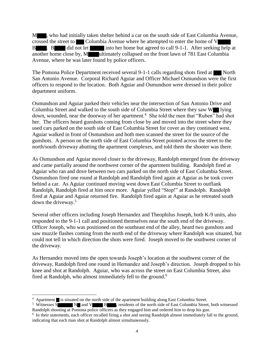M , who had initially taken shelter behind a car on the south side of East Columbia Avenue, crossed the street to Columbia Avenue where he attempted to enter the home of V B . B did not let into her home but agreed to call 9-1-1. After seeking help at another home close by, M ultimately collapsed on the front lawn of 781 East Columbia Avenue, where he was later found by police officers.

The Pomona Police Department received several  $9-1-1$  calls regarding shots fired at North San Antonio Avenue. Corporal Richard Aguiar and Officer Michael Osmundson were the first officers to respond to the location. Both Aguiar and Osmundson were dressed in their police department uniform.

Osmundson and Aguiar parked their vehicles near the intersection of San Antonio Drive and Columbia Street and walked to the south side of Columbia Street where they saw W lying down, wounded, near the doorway of her apartment.<sup>4</sup> She told the men that "Ruben" had shot her. The officers heard gunshots coming from close by and moved into the street where they used cars parked on the south side of East Columbia Street for cover as they continued west. Aguiar walked in front of Osmundson and both men scanned the street for the source of the gunshots. A person on the north side of East Columbia Street pointed across the street to the north/south driveway abutting the apartment complexes, and told them the shooter was there.

As Osmundson and Aguiar moved closer to the driveway, Randolph emerged from the driveway and came partially around the northwest corner of the apartment building. Randolph fired at Aguiar who ran and dove between two cars parked on the north side of East Columbia Street. Osmundson fired one round at Randolph and Randolph fired again at Aguiar as he took cover behind a car. As Aguiar continued moving west down East Columbia Street to outflank Randolph, Randolph fired at him once more. Aguiar yelled "Stop!" at Randolph. Randolph fired at Aguiar and Aguiar returned fire. Randolph fired again at Aguiar as he retreated south down the driveway. 5

Several other officers including Joseph Hernandez and Theophilus Joseph, both K-9 units, also responded to the 9-1-1 call and positioned themselves near the south end of the driveway. Officer Joseph, who was positioned on the southeast end of the alley, heard two gunshots and saw muzzle flashes coming from the north end of the driveway where Randolph was situated, but could not tell in which direction the shots were fired. Joseph moved to the southwest corner of the driveway.

As Hernandez moved into the open towards Joseph's location at the southwest corner of the driveway, Randolph fired one round in Hernandez and Joseph's direction. Joseph dropped to his knee and shot at Randolph. Aguiar, who was across the street on East Columbia Street, also fired at Randolph, who almost immediately fell to the ground.<sup>6</sup>

 $\overline{a}$ <sup>4</sup> Apartment is situated on the north side of the apartment building along East Columbia Street.

<sup>&</sup>lt;sup>5</sup> Witnesses S N and V B , residents of the north side of East Columbia Street, both witnessed Randolph shooting at Pomona police officers as they engaged him and ordered him to drop his gun.

<sup>&</sup>lt;sup>6</sup> In their statements, each officer recalled firing a shot and seeing Randolph almost immediately fall to the ground, indicating that each man shot at Randolph almost simultaneously.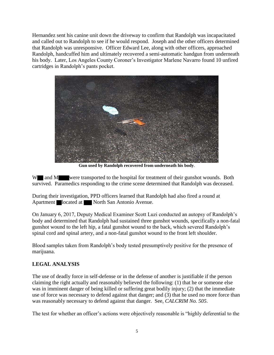Hernandez sent his canine unit down the driveway to confirm that Randolph was incapacitated and called out to Randolph to see if he would respond. Joseph and the other officers determined that Randolph was unresponsive. Officer Edward Lee, along with other officers, approached Randolph, handcuffed him and ultimately recovered a semi-automatic handgun from underneath his body. Later, Los Angeles County Coroner's Investigator Marlene Navarro found 10 unfired cartridges in Randolph's pants pocket.



**Gun used by Randolph recovered from underneath his body**.

W and M were transported to the hospital for treatment of their gunshot wounds. Both survived. Paramedics responding to the crime scene determined that Randolph was deceased.

During their investigation, PPD officers learned that Randolph had also fired a round at Apartment located at North San Antonio Avenue.

On January 6, 2017, Deputy Medical Examiner Scott Luzi conducted an autopsy of Randolph's body and determined that Randolph had sustained three gunshot wounds, specifically a non-fatal gunshot wound to the left hip, a fatal gunshot wound to the back, which severed Randolph's spinal cord and spinal artery, and a non-fatal gunshot wound to the front left shoulder.

Blood samples taken from Randolph's body tested presumptively positive for the presence of marijuana.

### **LEGAL ANALYSIS**

The use of deadly force in self-defense or in the defense of another is justifiable if the person claiming the right actually and reasonably believed the following: (1) that he or someone else was in imminent danger of being killed or suffering great bodily injury; (2) that the immediate use of force was necessary to defend against that danger; and (3) that he used no more force than was reasonably necessary to defend against that danger. See, *CALCRIM No. 505*.

The test for whether an officer's actions were objectively reasonable is "highly deferential to the